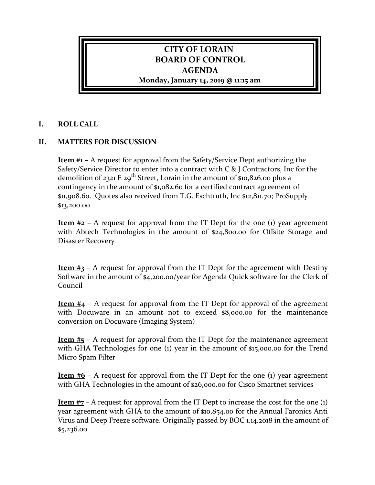## **CITY OF LORAIN BOARD OF CONTROL AGENDA**

**Monday, January 14, 2019 @ 11:15 am**

## **I. ROLL CALL**

## **II. MATTERS FOR DISCUSSION**

**Item #1** – A request for approval from the Safety/Service Dept authorizing the Safety/Service Director to enter into a contract with C & J Contractors, Inc for the demolition of 2321 E 29<sup>th</sup> Street, Lorain in the amount of  $$10,826.00$  plus a contingency in the amount of \$1,082.60 for a certified contract agreement of \$11,908.60. Quotes also received from T.G. Eschtruth, Inc \$12,811.70; ProSupply \$13,200.00

**Item**  $#2 - A$  request for approval from the IT Dept for the one (1) year agreement with Abtech Technologies in the amount of \$24,800.00 for Offsite Storage and Disaster Recovery

**Item #3** – A request for approval from the IT Dept for the agreement with Destiny Software in the amount of \$4,200.00/year for Agenda Quick software for the Clerk of Council

**Item #**4 – A request for approval from the IT Dept for approval of the agreement with Docuware in an amount not to exceed \$8,000.00 for the maintenance conversion on Docuware (Imaging System)

**Item #5** – A request for approval from the IT Dept for the maintenance agreement with GHA Technologies for one (1) year in the amount of \$15,000.00 for the Trend Micro Spam Filter

**Item #6** – A request for approval from the IT Dept for the one (1) year agreement with GHA Technologies in the amount of \$26,000.00 for Cisco Smartnet services

**Item #7** – A request for approval from the IT Dept to increase the cost for the one (1) year agreement with GHA to the amount of \$10,854.00 for the Annual Faronics Anti Virus and Deep Freeze software. Originally passed by BOC 1.14.2018 in the amount of \$5,236.00